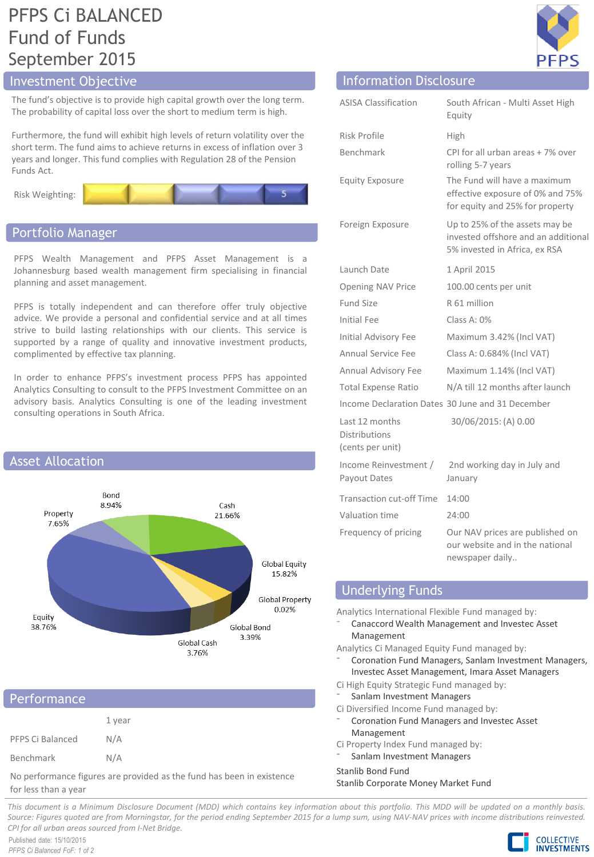# PFPS Ci BALANCED Fund of Funds September 2015

The fund's objective is to provide high capital growth over the long term. The probability of capital loss over the short to medium term is high.

Furthermore, the fund will exhibit high levels of return volatility over the short term. The fund aims to achieve returns in excess of inflation over 3 years and longer. This fund complies with Regulation 28 of the Pension Funds Act.



## Portfolio Manager

PFPS Wealth Management and PFPS Asset Management is a Johannesburg based wealth management firm specialising in financial planning and asset management.

PFPS is totally independent and can therefore offer truly objective advice. We provide a personal and confidential service and at all times strive to build lasting relationships with our clients. This service is supported by a range of quality and innovative investment products, complimented by effective tax planning.

In order to enhance PFPS's investment process PFPS has appointed Analytics Consulting to consult to the PFPS Investment Committee on an advisory basis. Analytics Consulting is one of the leading investment consulting operations in South Africa.



## Performance

|                  | 1 year |
|------------------|--------|
| PFPS Ci Balanced | N/A    |
| Benchmark        | N/A    |

No performance figures are provided as the fund has been in existence for less than a year



# Investment Objective Information Disclosure

| <b>ASISA Classification</b>                                | South African - Multi Asset High<br>Equity                                                             |
|------------------------------------------------------------|--------------------------------------------------------------------------------------------------------|
| Risk Profile                                               | High                                                                                                   |
| Benchmark                                                  | CPI for all urban areas + 7% over<br>rolling 5-7 years                                                 |
| <b>Equity Exposure</b>                                     | The Fund will have a maximum<br>effective exposure of 0% and 75%<br>for equity and 25% for property    |
| Foreign Exposure                                           | Up to 25% of the assets may be<br>invested offshore and an additional<br>5% invested in Africa, ex RSA |
| Launch Date                                                | 1 April 2015                                                                                           |
| Opening NAV Price                                          | 100.00 cents per unit                                                                                  |
| Fund Size                                                  | R 61 million                                                                                           |
| <b>Initial Fee</b>                                         | Class A: 0%                                                                                            |
| <b>Initial Advisory Fee</b>                                | Maximum 3.42% (Incl VAT)                                                                               |
| Annual Service Fee                                         | Class A: 0.684% (Incl VAT)                                                                             |
| Annual Advisory Fee                                        | Maximum 1.14% (Incl VAT)                                                                               |
| <b>Total Expense Ratio</b>                                 | N/A till 12 months after launch                                                                        |
|                                                            | Income Declaration Dates 30 June and 31 December                                                       |
| Last 12 months<br><b>Distributions</b><br>(cents per unit) | 30/06/2015: (A) 0.00                                                                                   |
| Income Reinvestment /<br>Payout Dates                      | 2nd working day in July and<br>January                                                                 |
| <b>Transaction cut-off Time</b>                            | 14:00                                                                                                  |
| Valuation time                                             | 24:00                                                                                                  |
| Frequency of pricing                                       | Our NAV prices are published on<br>our website and in the national<br>newspaper daily                  |

# Underlying Funds

Analytics International Flexible Fund managed by:

⁻ Canaccord Wealth Management and Investec Asset Management

Analytics Ci Managed Equity Fund managed by:

- ⁻ Coronation Fund Managers, Sanlam Investment Managers, Investec Asset Management, Imara Asset Managers
- Ci High Equity Strategic Fund managed by:
- Sanlam Investment Managers
- Ci Diversified Income Fund managed by:
- ⁻ Coronation Fund Managers and Investec Asset Management
- Ci Property Index Fund managed by:
- Sanlam Investment Managers

Stanlib Bond Fund

Stanlib Corporate Money Market Fund

This document is a Minimum Disclosure Document (MDD) which contains key information about this portfolio. This MDD will be updated on a monthly basis. Source: Figures guoted are from Morningstar, for the period ending September 2015 for a lump sum, using NAV-NAV prices with income distributions reinvested. *CPI for all urban areas sourced from I-Net Bridge.*

Published date: 15/10/2015 *PFPS Ci Balanced FoF: 1 of 2*